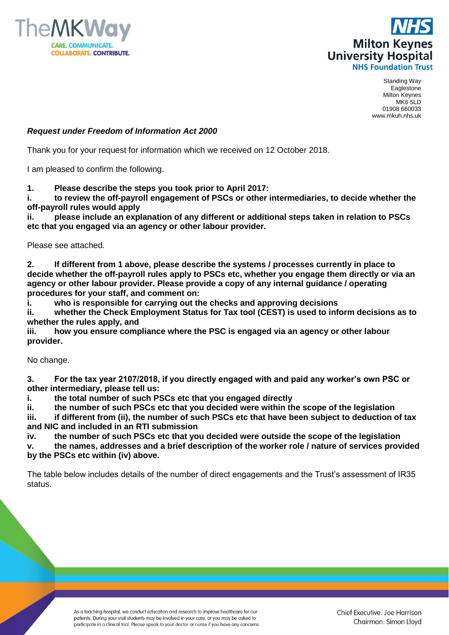



Standing Way Eaglestone Milton Keynes MK6 5LD 01908 660033 www.mkuh.nhs.uk

## *Request under Freedom of Information Act 2000*

Thank you for your request for information which we received on 12 October 2018.

I am pleased to confirm the following.

**1. Please describe the steps you took prior to April 2017:** 

**i. to review the off-payroll engagement of PSCs or other intermediaries, to decide whether the off-payroll rules would apply**

**ii. please include an explanation of any different or additional steps taken in relation to PSCs etc that you engaged via an agency or other labour provider.**

Please see attached.

**2. If different from 1 above, please describe the systems / processes currently in place to decide whether the off-payroll rules apply to PSCs etc, whether you engage them directly or via an agency or other labour provider. Please provide a copy of any internal guidance / operating procedures for your staff, and comment on:** 

**i. who is responsible for carrying out the checks and approving decisions**

**ii. whether the Check Employment Status for Tax tool (CEST) is used to inform decisions as to whether the rules apply, and** 

**iii. how you ensure compliance where the PSC is engaged via an agency or other labour provider.**

No change.

**3. For the tax year 2107/2018, if you directly engaged with and paid any worker's own PSC or other intermediary, please tell us:**

**i. the total number of such PSCs etc that you engaged directly**

**ii. the number of such PSCs etc that you decided were within the scope of the legislation**

**iii. if different from (ii), the number of such PSCs etc that have been subject to deduction of tax and NIC and included in an RTI submission**

**iv. the number of such PSCs etc that you decided were outside the scope of the legislation**

**v. the names, addresses and a brief description of the worker role / nature of services provided by the PSCs etc within (iv) above.**

The table below includes details of the number of direct engagements and the Trust's assessment of IR35 status.

> As a teaching hospital, we conduct education and research to improve healthcare for our patients. During your visit students may be involved in your care, or you may be asked to participate in a clinical trial. Please speak to your doctor or nurse if you have any concerns.

Chief Executive: Joe Harrison Chairman: Simon Lloyd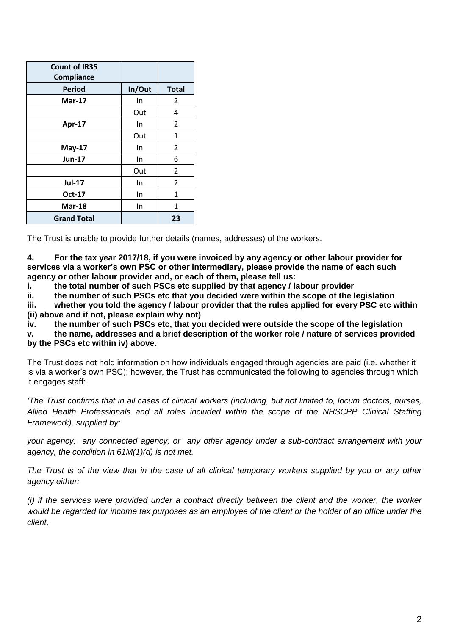| <b>Count of IR35</b><br><b>Compliance</b> |        |                |
|-------------------------------------------|--------|----------------|
| <b>Period</b>                             | In/Out | <b>Total</b>   |
| <b>Mar-17</b>                             | In     | 2              |
|                                           | Out    | 4              |
| Apr-17                                    | In     | 2              |
|                                           | Out    | 1              |
| $May-17$                                  | In     | 2              |
| <b>Jun-17</b>                             | In     | 6              |
|                                           | Out    | 2              |
| <b>Jul-17</b>                             | In     | $\overline{2}$ |
| Oct-17                                    | In     | 1              |
| <b>Mar-18</b>                             | In     | 1              |
| <b>Grand Total</b>                        |        | 23             |

The Trust is unable to provide further details (names, addresses) of the workers.

**4. For the tax year 2017/18, if you were invoiced by any agency or other labour provider for services via a worker's own PSC or other intermediary, please provide the name of each such agency or other labour provider and, or each of them, please tell us:**

**i. the total number of such PSCs etc supplied by that agency / labour provider** 

**ii. the number of such PSCs etc that you decided were within the scope of the legislation**

**iii. whether you told the agency / labour provider that the rules applied for every PSC etc within (ii) above and if not, please explain why not)**

**iv. the number of such PSCs etc, that you decided were outside the scope of the legislation**

**v. the name, addresses and a brief description of the worker role / nature of services provided by the PSCs etc within iv) above.**

The Trust does not hold information on how individuals engaged through agencies are paid (i.e. whether it is via a worker's own PSC); however, the Trust has communicated the following to agencies through which it engages staff:

*'The Trust confirms that in all cases of clinical workers (including, but not limited to, locum doctors, nurses, Allied Health Professionals and all roles included within the scope of the NHSCPP Clinical Staffing Framework), supplied by:* 

*your agency; any connected agency; or any other agency under a sub-contract arrangement with your agency, the condition in 61M(1)(d) is not met.* 

*The Trust is of the view that in the case of all clinical temporary workers supplied by you or any other agency either:*

*(i) if the services were provided under a contract directly between the client and the worker, the worker would be regarded for income tax purposes as an employee of the client or the holder of an office under the client,*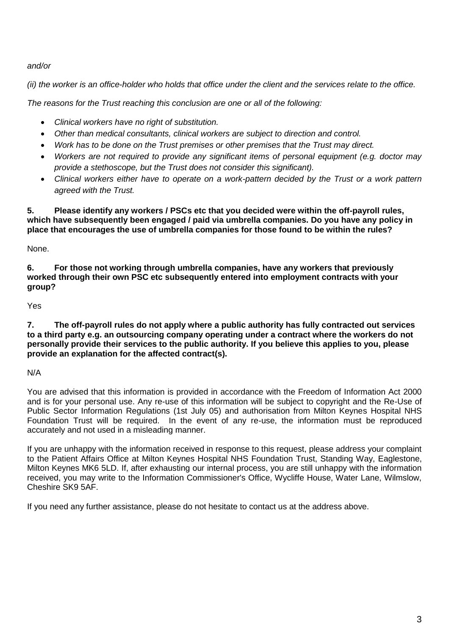## *and/or*

*(ii) the worker is an office-holder who holds that office under the client and the services relate to the office.*

*The reasons for the Trust reaching this conclusion are one or all of the following:*

- *Clinical workers have no right of substitution.*
- *Other than medical consultants, clinical workers are subject to direction and control.*
- *Work has to be done on the Trust premises or other premises that the Trust may direct.*
- *Workers are not required to provide any significant items of personal equipment (e.g. doctor may provide a stethoscope, but the Trust does not consider this significant).*
- *Clinical workers either have to operate on a work-pattern decided by the Trust or a work pattern agreed with the Trust.*

**5. Please identify any workers / PSCs etc that you decided were within the off-payroll rules, which have subsequently been engaged / paid via umbrella companies. Do you have any policy in place that encourages the use of umbrella companies for those found to be within the rules?** 

None.

**6. For those not working through umbrella companies, have any workers that previously worked through their own PSC etc subsequently entered into employment contracts with your group?**

Yes

**7. The off-payroll rules do not apply where a public authority has fully contracted out services to a third party e.g. an outsourcing company operating under a contract where the workers do not personally provide their services to the public authority. If you believe this applies to you, please provide an explanation for the affected contract(s).**

N/A

You are advised that this information is provided in accordance with the Freedom of Information Act 2000 and is for your personal use. Any re-use of this information will be subject to copyright and the Re-Use of Public Sector Information Regulations (1st July 05) and authorisation from Milton Keynes Hospital NHS Foundation Trust will be required. In the event of any re-use, the information must be reproduced accurately and not used in a misleading manner.

If you are unhappy with the information received in response to this request, please address your complaint to the Patient Affairs Office at Milton Keynes Hospital NHS Foundation Trust, Standing Way, Eaglestone, Milton Keynes MK6 5LD. If, after exhausting our internal process, you are still unhappy with the information received, you may write to the Information Commissioner's Office, Wycliffe House, Water Lane, Wilmslow, Cheshire SK9 5AF.

If you need any further assistance, please do not hesitate to contact us at the address above.